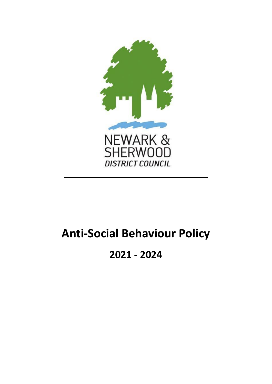

# **Anti-Social Behaviour Policy**

## **2021 - 2024**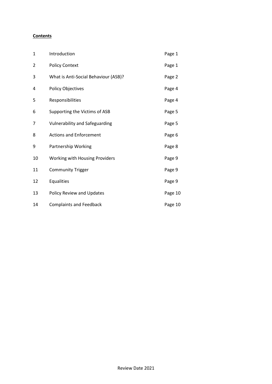#### **Contents**

| 1  | Introduction                          | Page 1  |
|----|---------------------------------------|---------|
| 2  | <b>Policy Context</b>                 | Page 1  |
| 3  | What is Anti-Social Behaviour (ASB)?  | Page 2  |
| 4  | <b>Policy Objectives</b>              | Page 4  |
| 5  | Responsibilities                      | Page 4  |
| 6  | Supporting the Victims of ASB         | Page 5  |
| 7  | <b>Vulnerability and Safeguarding</b> | Page 5  |
| 8  | <b>Actions and Enforcement</b>        | Page 6  |
| 9  | Partnership Working                   | Page 8  |
| 10 | <b>Working with Housing Providers</b> | Page 9  |
| 11 | <b>Community Trigger</b>              | Page 9  |
| 12 | Equalities                            | Page 9  |
| 13 | Policy Review and Updates             | Page 10 |
| 14 | <b>Complaints and Feedback</b>        | Page 10 |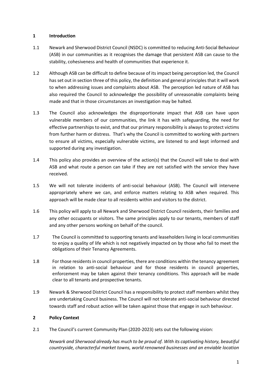#### **1 Introduction**

- 1.1 Newark and Sherwood District Council (NSDC) is committed to reducing Anti-Social Behaviour (ASB) in our communities as it recognises the damage that persistent ASB can cause to the stability, cohesiveness and health of communities that experience it.
- 1.2 Although ASB can be difficult to define because of its impact being perception led, the Council has set out in section three of this policy, the definition and general principles that it will work to when addressing issues and complaints about ASB. The perception led nature of ASB has also required the Council to acknowledge the possibility of unreasonable complaints being made and that in those circumstances an investigation may be halted.
- 1.3 The Council also acknowledges the disproportionate impact that ASB can have upon vulnerable members of our communities, the link it has with safeguarding, the need for effective partnerships to exist, and that our primary responsibility is always to protect victims from further harm or distress. That's why the Council is committed to working with partners to ensure all victims, especially vulnerable victims, are listened to and kept informed and supported during any investigation.
- 1.4 This policy also provides an overview of the action(s) that the Council will take to deal with ASB and what route a person can take if they are not satisfied with the service they have received.
- 1.5 We will not tolerate incidents of anti-social behaviour (ASB). The Council will intervene appropriately where we can, and enforce matters relating to ASB when required. This approach will be made clear to all residents within and visitors to the district.
- 1.6 This policy will apply to all Newark and Sherwood District Council residents, their families and any other occupants or visitors. The same principles apply to our tenants, members of staff and any other persons working on behalf of the council.
- 1.7 The Council is committed to supporting tenants and leaseholders living in local communities to enjoy a quality of life which is not negatively impacted on by those who fail to meet the obligations of their Tenancy Agreements.
- 1.8 For those residents in council properties, there are conditions within the tenancy agreement in relation to anti-social behaviour and for those residents in council properties, enforcement may be taken against their tenancy conditions. This approach will be made clear to all tenants and prospective tenants.
- 1.9 Newark & Sherwood District Council has a responsibility to protect staff members whilst they are undertaking Council business. The Council will not tolerate anti-social behaviour directed towards staff and robust action will be taken against those that engage in such behaviour.

#### **2 Policy Context**

2.1 The Council's current Community Plan (2020-2023) sets out the following vision:

*Newark and Sherwood already has much to be proud of. With its captivating history, beautiful countryside, characterful market towns, world renowned businesses and an enviable location*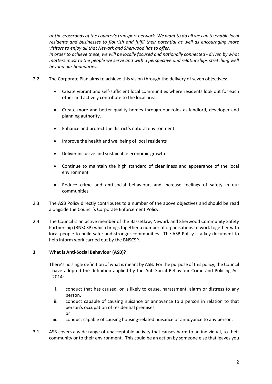*at the crossroads of the country's transport network. We want to do all we can to enable local residents and businesses to flourish and fulfil their potential as well as encouraging more visitors to enjoy all that Newark and Sherwood has to offer.* 

*In order to achieve these, we will be locally focused and nationally connected - driven by what matters most to the people we serve and with a perspective and relationships stretching well beyond our boundaries.*

- 2.2 The Corporate Plan aims to achieve this vision through the delivery of seven objectives:
	- Create vibrant and self-sufficient local communities where residents look out for each other and actively contribute to the local area.
	- Create more and better quality homes through our roles as landlord, developer and planning authority.
	- Enhance and protect the district's natural environment
	- Improve the health and wellbeing of local residents
	- Deliver inclusive and sustainable economic growth
	- Continue to maintain the high standard of cleanliness and appearance of the local environment
	- Reduce crime and anti-social behaviour, and increase feelings of safety in our communities
- 2.3 The ASB Policy directly contributes to a number of the above objectives and should be read alongside the Council's Corporate Enforcement Policy.
- 2.4 The Council is an active member of the Bassetlaw, Newark and Sherwood Community Safety Partnership (BNSCSP) which brings together a number of organisations to work together with local people to build safer and stronger communities. The ASB Policy is a key document to help inform work carried out by the BNSCSP.

#### **3 What is Anti-Social Behaviour (ASB)?**

There's no single definition of what is meant by ASB. For the purpose of this policy, the Council have adopted the definition applied by the Anti-Social Behaviour Crime and Policing Act 2014:

- i. conduct that has caused, or is likely to cause, harassment, alarm or distress to any person,
- ii. conduct capable of causing nuisance or annoyance to a person in relation to that person's occupation of residential premises, or
- iii. conduct capable of causing housing-related nuisance or annoyance to any person.
- 3.1 ASB covers a wide range of unacceptable activity that causes harm to an individual, to their community or to their environment. This could be an action by someone else that leaves you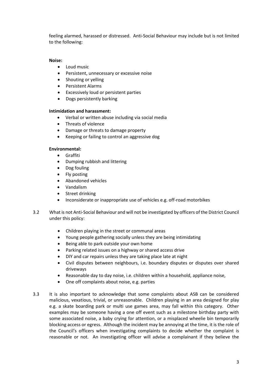feeling alarmed, harassed or distressed. Anti-Social Behaviour may include but is not limited to the following:

#### **Noise:**

- Loud music
- **•** Persistent, unnecessary or excessive noise
- Shouting or yelling
- Persistent Alarms
- Excessively loud or persistent parties
- Dogs persistently barking

#### **Intimidation and harassment:**

- Verbal or written abuse including via social media
- Threats of violence
- Damage or threats to damage property
- Keeping or failing to control an aggressive dog

#### **Environmental:**

- Graffiti
- Dumping rubbish and littering
- Dog fouling
- Fly posting
- Abandoned vehicles
- Vandalism
- Street drinking
- Inconsiderate or inappropriate use of vehicles e.g. off-road motorbikes
- 3.2 What is not Anti-Social Behaviour and will not be investigated by officers of the District Council under this policy:
	- Children playing in the street or communal areas
	- Young people gathering socially unless they are being intimidating
	- Being able to park outside your own home
	- Parking related issues on a highway or shared access drive
	- DIY and car repairs unless they are taking place late at night
	- Civil disputes between neighbours, i.e. boundary disputes or disputes over shared driveways
	- Reasonable day to day noise, i.e. children within a household, appliance noise,
	- One off complaints about noise, e.g. parties
- 3.3 It is also important to acknowledge that some complaints about ASB can be considered malicious, vexatious, trivial, or unreasonable. Children playing in an area designed for play e.g. a skate boarding park or multi use games area, may fall within this category. Other examples may be someone having a one off event such as a milestone birthday party with some associated noise, a baby crying for attention, or a misplaced wheelie bin temporarily blocking access or egress. Although the incident may be annoying at the time, it is the role of the Council's officers when investigating complaints to decide whether the complaint is reasonable or not. An investigating officer will advise a complainant if they believe the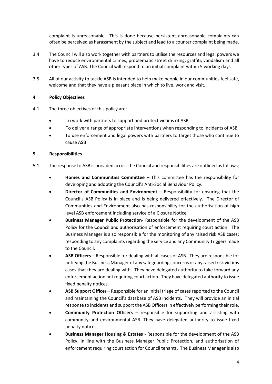complaint is unreasonable. This is done because persistent unreasonable complaints can often be perceived as harassment by the subject and lead to a counter complaint being made.

- 3.4 The Council will also work together with partners to utilise the resources and legal powers we have to reduce environmental crimes, problematic street drinking, graffiti, vandalism and all other types of ASB. The Council will respond to an initial complaint within 5 working days
- 3.5 All of our activity to tackle ASB is intended to help make people in our communities feel safe, welcome and that they have a pleasant place in which to live, work and visit.

#### **4 Policy Objectives**

- 4.1 The three objectives of this policy are:
	- To work with partners to support and protect victims of ASB
	- To deliver a range of appropriate interventions when responding to incidents of ASB
	- To use enforcement and legal powers with partners to target those who continue to cause ASB

#### **5 Responsibilities**

- 5.1 The response to ASB is provided across the Council and responsibilities are outlined as follows;
	- **Homes and Communities Committee** *–* This committee has the responsibility for developing and adopting the Council's Anti-Social Behaviour Policy.
	- **Director of Communities and Environment** Responsibility for ensuring that the Council's ASB Policy is in place and is being delivered effectively. The Director of Communities and Environment also has responsibility for the authorisation of high level ASB enforcement including service of a Closure Notice.
	- **Business Manager Public Protection** Responsible for the development of the ASB Policy for the Council and authorisation of enforcement requiring court action. The Business Manager is also responsible for the monitoring of any raised risk ASB cases; responding to any complaints regarding the service and any Community Triggers made to the Council.
	- **ASB Officers** Responsible for dealing with all cases of ASB. They are responsible for notifying the Business Manager of any safeguarding concerns or any raised risk victims cases that they are dealing with. They have delegated authority to take forward any enforcement action not requiring court action. They have delegated authority to issue fixed penalty notices.
	- **ASB Support Officer** Responsible for an initial triage of cases reported to the Council and maintaining the Council's database of ASB incidents. They will provide an initial response to incidents and support the ASB Officers in effectively performing their role.
	- **Community Protection Officers**  responsible for supporting and assisting with community and environmental ASB. They have delegated authority to issue fixed penalty notices.
	- **Business Manager Housing & Estates** Responsible for the development of the ASB Policy, in line with the Business Manager Public Protection, and authorisation of enforcement requiring court action for Council tenants. The Business Manager is also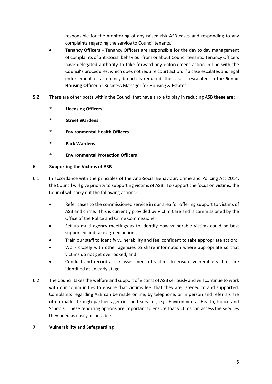responsible for the monitoring of any raised risk ASB cases and responding to any complaints regarding the service to Council tenants.

- **Tenancy Officers –** Tenancy Officers are responsible for the day to day management of complaints of anti-social behaviour from or about Council tenants. Tenancy Officers have delegated authority to take forward any enforcement action in line with the Council's procedures, which does not require court action. If a case escalates and legal enforcement or a tenancy breach is required, the case is escalated to the **Senior Housing Officer** or Business Manager for Housing & Estates**.**
- **5.2** There are other posts within the Council that have a role to play in reducing ASB **these are:**
	- **\* Licensing Officers**
	- **\* Street Wardens**
	- **\* Environmental Health Officers**
	- **\* Park Wardens**
	- **\* Environmental Protection Officers**

#### **6 Supporting the Victims of ASB**

- 6.1 In accordance with the principles of the Anti-Social Behaviour, Crime and Policing Act 2014, the Council will give priority to supporting victims of ASB. To support the focus on victims, the Council will carry out the following actions:
	- Refer cases to the commissioned service in our area for offering support to victims of ASB and crime. This is currently provided by Victim Care and is commissioned by the Office of the Police and Crime Commissioner.
	- Set up multi-agency meetings as to identify how vulnerable victims could be best supported and take agreed actions;
	- Train our staff to identify vulnerability and feel confident to take appropriate action;
	- Work closely with other agencies to share information where appropriate so that victims do not get overlooked; and
	- Conduct and record a risk assessment of victims to ensure vulnerable victims are identified at an early stage.
- 6.2 The Council takes the welfare and support of victims of ASB seriously and will continue to work with our communities to ensure that victims feel that they are listened to and supported. Complaints regarding ASB can be made online, by telephone, or in person and referrals are often made through partner agencies and services, e.g. Environmental Health, Police and Schools. These reporting options are important to ensure that victims can access the services they need as easily as possible.

#### **7 Vulnerability and Safeguarding**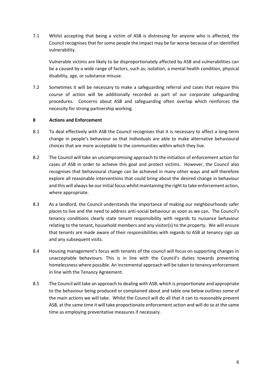7.1 Whilst accepting that being a victim of ASB is distressing for anyone who is affected, the Council recognises that for some people the impact may be far worse because of an identified vulnerability.

Vulnerable victims are likely to be disproportionately affected by ASB and vulnerabilities can be a caused by a wide range of factors, such as; isolation, a mental health condition, physical disability, age, or substance misuse.

7.2 Sometimes it will be necessary to make a safeguarding referral and cases that require this course of action will be additionally recorded as part of our corporate safeguarding procedures. Concerns about ASB and safeguarding often overlap which reinforces the necessity for strong partnership working.

#### **8 Actions and Enforcement**

- 8.1 To deal effectively with ASB the Council recognises that it is necessary to affect a long-term change in people's behaviour so that individuals are able to make alternative behavioural choices that are more acceptable to the communities within which they live.
- 8.2 The Council will take an uncompromising approach to the initiation of enforcement action for cases of ASB in order to achieve this goal and protect victims. However, the Council also recognises that behavioural change can be achieved in many other ways and will therefore explore all reasonable interventions that could bring about the desired change in behaviour and this will always be our initial focus whilst maintaining the right to take enforcement action, where appropriate.
- 8.3 As a landlord, the Council understands the importance of making our neighbourhoods safer places to live and the need to address anti-social behaviour as soon as we can. The Council's tenancy conditions clearly state tenant responsibility with regards to nuisance behaviour relating to the tenant, household members and any visitor(s) to the property. We will ensure that tenants are made aware of their responsibilities with regards to ASB at tenancy sign up and any subsequent visits.
- 8.4 Housing management's focus with tenants of the council will focus on supporting changes in unacceptable behaviours. This is in line with the Council's duties towards preventing homelessness where possible. An incremental approach will be taken to tenancy enforcement in line with the Tenancy Agreement.
- 8.5 The Council will take an approach to dealing with ASB, which is proportionate and appropriate to the behaviour being produced or complained about and table one below outlines some of the main actions we will take. Whilst the Council will do all that it can to reasonably prevent ASB, at the same time it will take proportionate enforcement action and will do so at the same time as employing preventative measures if necessary.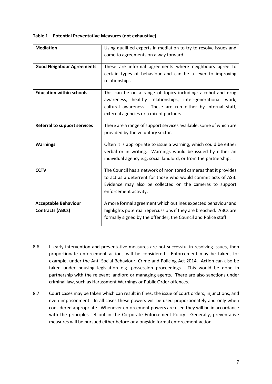**Table 1** – **Potential Preventative Measures (not exhaustive).**

| <b>Mediation</b>                                       | Using qualified experts in mediation to try to resolve issues and<br>come to agreements on a way forward.                                                                                                                           |
|--------------------------------------------------------|-------------------------------------------------------------------------------------------------------------------------------------------------------------------------------------------------------------------------------------|
| <b>Good Neighbour Agreements</b>                       | These are informal agreements where neighbours agree to<br>certain types of behaviour and can be a lever to improving<br>relationships.                                                                                             |
| <b>Education within schools</b>                        | This can be on a range of topics including: alcohol and drug<br>awareness, healthy relationships, inter-generational work,<br>cultural awareness. These are run either by internal staff,<br>external agencies or a mix of partners |
| <b>Referral to support services</b>                    | There are a range of support services available, some of which are<br>provided by the voluntary sector.                                                                                                                             |
| <b>Warnings</b>                                        | Often it is appropriate to issue a warning, which could be either<br>verbal or in writing. Warnings would be issued by either an<br>individual agency e.g. social landlord, or from the partnership.                                |
| <b>CCTV</b>                                            | The Council has a network of monitored cameras that it provides<br>to act as a deterrent for those who would commit acts of ASB.<br>Evidence may also be collected on the cameras to support<br>enforcement activity.               |
| <b>Acceptable Behaviour</b><br><b>Contracts (ABCs)</b> | A more formal agreement which outlines expected behaviour and<br>highlights potential repercussions if they are breached. ABCs are<br>formally signed by the offender, the Council and Police staff.                                |

- 8.6 If early intervention and preventative measures are not successful in resolving issues, then proportionate enforcement actions will be considered. Enforcement may be taken, for example, under the Anti-Social Behaviour, Crime and Policing Act 2014. Action can also be taken under housing legislation e.g. possession proceedings. This would be done in partnership with the relevant landlord or managing agents. There are also sanctions under criminal law, such as Harassment Warnings or Public Order offences.
- 8.7 Court cases may be taken which can result in fines, the issue of court orders, injunctions, and even imprisonment. In all cases these powers will be used proportionately and only when considered appropriate. Whenever enforcement powers are used they will be in accordance with the principles set out in the Corporate Enforcement Policy. Generally, preventative measures will be pursued either before or alongside formal enforcement action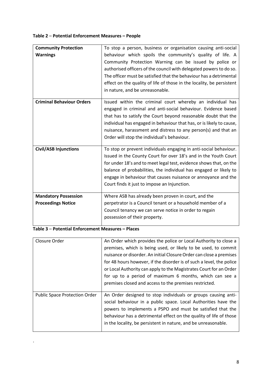#### **Table 2** – **Potential Enforcement Measures – People**

| <b>Community Protection</b><br><b>Warnings</b>           | To stop a person, business or organisation causing anti-social<br>behaviour which spoils the community's quality of life. A<br>Community Protection Warning can be issued by police or<br>authorised officers of the council with delegated powers to do so.<br>The officer must be satisfied that the behaviour has a detrimental<br>effect on the quality of life of those in the locality, be persistent<br>in nature, and be unreasonable. |
|----------------------------------------------------------|------------------------------------------------------------------------------------------------------------------------------------------------------------------------------------------------------------------------------------------------------------------------------------------------------------------------------------------------------------------------------------------------------------------------------------------------|
| <b>Criminal Behaviour Orders</b>                         | Issued within the criminal court whereby an individual has<br>engaged in criminal and anti-social behaviour. Evidence based<br>that has to satisfy the Court beyond reasonable doubt that the<br>individual has engaged in behaviour that has, or is likely to cause,<br>nuisance, harassment and distress to any person(s) and that an<br>Order will stop the individual's behaviour.                                                         |
| <b>Civil/ASB Injunctions</b>                             | To stop or prevent individuals engaging in anti-social behaviour.<br>Issued in the County Court for over 18's and in the Youth Court<br>for under 18's and to meet legal test, evidence shows that, on the<br>balance of probabilities, the individual has engaged or likely to<br>engage in behaviour that causes nuisance or annoyance and the<br>Court finds it just to impose an Injunction.                                               |
| <b>Mandatory Possession</b><br><b>Proceedings Notice</b> | Where ASB has already been proven in court, and the<br>perpetrator is a Council tenant or a household member of a<br>Council tenancy we can serve notice in order to regain<br>possession of their property.                                                                                                                                                                                                                                   |

### **Table 3** – **Potential Enforcement Measures – Places**

.

| An Order which provides the police or Local Authority to close a<br>premises, which is being used, or likely to be used, to commit<br>nuisance or disorder. An initial Closure Order can close a premises                                                                                                                             |
|---------------------------------------------------------------------------------------------------------------------------------------------------------------------------------------------------------------------------------------------------------------------------------------------------------------------------------------|
| for 48 hours however, if the disorder is of such a level, the police                                                                                                                                                                                                                                                                  |
| or Local Authority can apply to the Magistrates Court for an Order                                                                                                                                                                                                                                                                    |
| for up to a period of maximum 6 months, which can see a                                                                                                                                                                                                                                                                               |
| premises closed and access to the premises restricted.                                                                                                                                                                                                                                                                                |
| An Order designed to stop individuals or groups causing anti-<br>social behaviour in a public space. Local Authorities have the<br>powers to implements a PSPO and must be satisfied that the<br>behaviour has a detrimental effect on the quality of life of those<br>in the locality, be persistent in nature, and be unreasonable. |
|                                                                                                                                                                                                                                                                                                                                       |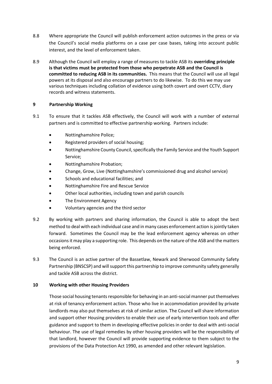- 8.8 Where appropriate the Council will publish enforcement action outcomes in the press or via the Council's social media platforms on a case per case bases, taking into account public interest, and the level of enforcement taken.
- 8.9 Although the Council will employ a range of measures to tackle ASB its **overriding principle is that victims must be protected from those who perpetrate ASB and the Council is committed to reducing ASB in its communities.** This means that the Council will use all legal powers at its disposal and also encourage partners to do likewise. To do this we may use various techniques including collation of evidence using both covert and overt CCTV, diary records and witness statements.

#### **9 Partnership Working**

- 9.1 To ensure that it tackles ASB effectively, the Council will work with a number of external partners and is committed to effective partnership working. Partners include:
	- Nottinghamshire Police;
	- Registered providers of social housing;
	- Nottinghamshire County Council, specifically the Family Service and the Youth Support Service;
	- Nottinghamshire Probation;
	- Change, Grow, Live (Nottinghamshire's commissioned drug and alcohol service)
	- Schools and educational facilities; and
	- Nottinghamshire Fire and Rescue Service
	- Other local authorities, including town and parish councils
	- The Environment Agency
	- Voluntary agencies and the third sector
- 9.2 By working with partners and sharing information, the Council is able to adopt the best method to deal with each individual case and in many cases enforcement action is jointly taken forward. Sometimes the Council may be the lead enforcement agency whereas on other occasions it may play a supporting role. This depends on the nature of the ASB and the matters being enforced.
- 9.3 The Council is an active partner of the Bassetlaw, Newark and Sherwood Community Safety Partnership (BNSCSP) and will support this partnership to improve community safety generally and tackle ASB across the district.

#### **10 Working with other Housing Providers**

Those social housing tenants responsible for behaving in an anti-social manner put themselves at risk of tenancy enforcement action. Those who live in accommodation provided by private landlords may also put themselves at risk of similar action. The Council will share information and support other Housing providers to enable their use of early intervention tools and offer guidance and support to them in developing effective policies in order to deal with anti-social behaviour. The use of legal remedies by other housing providers will be the responsibility of that landlord, however the Council will provide supporting evidence to them subject to the provisions of the Data Protection Act 1990, as amended and other relevant legislation.